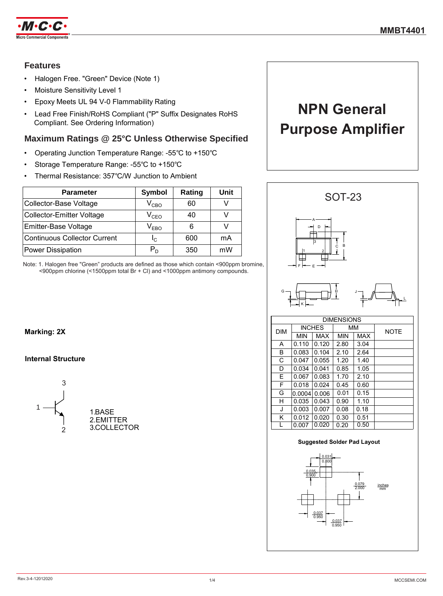

## **Features**

- Halogen Free. "Green" Device (Note 1)
- Moisture Sensitivity Level 1
- Epoxy Meets UL 94 V-0 Flammability Rating
- Lead Free Finish/RoHS Compliant ("P" Suffix Designates RoHS Compliant. See Ordering Information)

### **Maximum Ratings @ 25°C Unless Otherwise Specified**

- Operating Junction Temperature Range: -55℃ to +150℃
- Storage Temperature Range: -55℃ to +150℃
- Thermal Resistance: 357℃/W Junction to Ambient

| <b>Parameter</b>                    | Symbol                      | Rating | Unit |
|-------------------------------------|-----------------------------|--------|------|
| Collector-Base Voltage              | $\rm V_{CBO}$               | 60     |      |
| <b>Collector-Emitter Voltage</b>    | $V_{CEO}$                   | 40     |      |
| Emitter-Base Voltage                | $\mathsf{V}_{\mathsf{EBO}}$ | 6      |      |
| <b>Continuous Collector Current</b> | $I_{C}$                     | 600    | mA   |
| Power Dissipation                   | P <sub>n</sub>              | 350    | mW   |

Note: 1. Halogen free "Green" products are defined as those which contain <900ppm bromine, <900ppm chlorine (<1500ppm total Br + Cl) and <1000ppm antimony compounds.

# **NPN General Purpose Amplifier**



| <b>DIMENSIONS</b> |            |               |            |            |             |
|-------------------|------------|---------------|------------|------------|-------------|
| <b>DIM</b>        |            | <b>INCHES</b> | MМ         |            | <b>NOTE</b> |
|                   | <b>MIN</b> | <b>MAX</b>    | <b>MIN</b> | <b>MAX</b> |             |
| А                 | 0.110      | 0.120         | 2.80       | 3.04       |             |
| В                 | 0.083      | 0.104         | 2.10       | 2.64       |             |
| C                 | 0.047      | 0.055         | 1.20       | 1.40       |             |
| D                 | 0.034      | 0.041         | 0.85       | 1.05       |             |
| E                 | 0.067      | 0.083         | 1.70       | 2.10       |             |
| F                 | 0.018      | 0.024         | 0.45       | 0.60       |             |
| G                 | 0.0004     | 0.006         | 0.01       | 0.15       |             |
| н                 | 0.035      | 0.043         | 0.90       | 1.10       |             |
| J                 | 0.003      | 0.007         | 0.08       | 0.18       |             |
| Κ                 | 0.012      | 0.020         | 0.30       | 0.51       |             |
| L                 | 0.007      | 0.020         | 0.20       | 0.50       |             |

#### **Suggested Solder Pad Layout**



### **Marking: 2X**

### **Internal Structure**

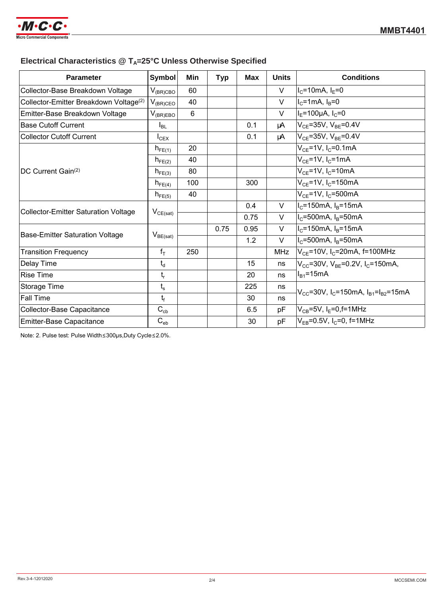

# **Electrical Characteristics @ TA=25°C Unless Otherwise Specified**

| <b>Parameter</b>                                   | <b>Symbol</b>             | Min | <b>Typ</b> | <b>Max</b> | <b>Units</b> | <b>Conditions</b>                                                            |  |
|----------------------------------------------------|---------------------------|-----|------------|------------|--------------|------------------------------------------------------------------------------|--|
| Collector-Base Breakdown Voltage                   | $V_{(BR)CBO}$             | 60  |            |            | $\vee$       | $I_c = 10mA, I_E = 0$                                                        |  |
| Collector-Emitter Breakdown Voltage <sup>(2)</sup> | $V_{(BR)CEO}$             | 40  |            |            | V            | $I_c = 1$ mA, $I_B = 0$                                                      |  |
| Emitter-Base Breakdown Voltage                     | $V_{(BR)EBO}$             | 6   |            |            | V            | $I_F = 100 \mu A$ , $I_C = 0$                                                |  |
| <b>Base Cutoff Current</b>                         | $I_{BL}$                  |     |            | 0.1        | μA           | $V_{CE} = 35V$ , $V_{BE} = 0.4V$                                             |  |
| <b>Collector Cutoff Current</b>                    | $I_{CEX}$                 |     |            | 0.1        | μA           | $V_{CE} = 35V$ , $V_{BE} = 0.4V$                                             |  |
| DC Current Gain <sup>(2)</sup>                     | $h_{FE(1)}$               | 20  |            |            |              | $V_{CE} = 1V$ , I <sub>C</sub> =0.1mA                                        |  |
|                                                    | $h_{FE(2)}$               | 40  |            |            |              | $V_{CF}$ =1V, I <sub>C</sub> =1mA                                            |  |
|                                                    | $h_{FE(3)}$               | 80  |            |            |              | $V_{CE}$ =1V, I <sub>C</sub> =10mA                                           |  |
|                                                    | $h_{FE(4)}$               | 100 |            | 300        |              | $V_{CE}$ =1V, I <sub>C</sub> =150mA                                          |  |
|                                                    | $h_{FE(5)}$               | 40  |            |            |              | $V_{CE} = 1V$ , I <sub>C</sub> =500mA                                        |  |
| <b>Collector-Emitter Saturation Voltage</b>        | $V_{CE(sat)}$             |     |            | 0.4        | V            | $I_c$ =150mA, $I_B$ =15mA                                                    |  |
|                                                    |                           |     |            | 0.75       | V            | $I_{C}$ =500mA, $I_{B}$ =50mA                                                |  |
| <b>Base-Emitter Saturation Voltage</b>             | $V_{BE(sat)}$             |     | 0.75       | 0.95       | V            | $I_c$ =150mA, $I_B$ =15mA                                                    |  |
|                                                    |                           |     |            | 1.2        | $\vee$       | $I_c$ =500mA, $I_B$ =50mA                                                    |  |
| <b>Transition Frequency</b>                        | $f_T$                     | 250 |            |            | <b>MHz</b>   | $V_{CE}$ =10V, I <sub>C</sub> =20mA, f=100MHz                                |  |
| Delay Time                                         | $t_d$                     |     |            | 15         | ns           | $V_{CC}$ =30V, $V_{BE}$ =0.2V, I <sub>C</sub> =150mA,                        |  |
| <b>Rise Time</b>                                   | $\mathsf{t}_{\mathsf{r}}$ |     |            | 20         | ns           | $I_{B1} = 15mA$                                                              |  |
| Storage Time                                       | $t_{s}$                   |     |            | 225        | ns           | $V_{CC}$ =30V, I <sub>C</sub> =150mA, I <sub>B1</sub> =I <sub>B2</sub> =15mA |  |
| <b>Fall Time</b>                                   | $t_f$                     |     |            | 30         | ns           |                                                                              |  |
| Collector-Base Capacitance                         | $C_{cb}$                  |     |            | 6.5        | рF           | $V_{CB} = 5V$ , I <sub>E</sub> =0, f=1MHz                                    |  |
| <b>Emitter-Base Capacitance</b>                    | $C_{eb}$                  |     |            | 30         | pF           | $V_{FB} = 0.5V$ , $I_C = 0$ , f=1MHz                                         |  |

Note: 2. Pulse test: Pulse Width≤300μs,Duty Cycle≤2.0%.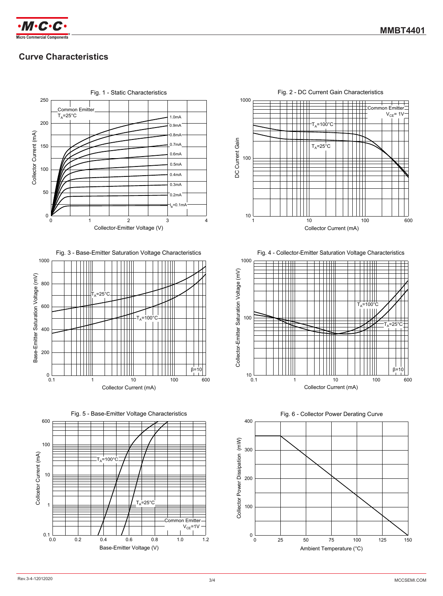

# **Curve Characteristics**